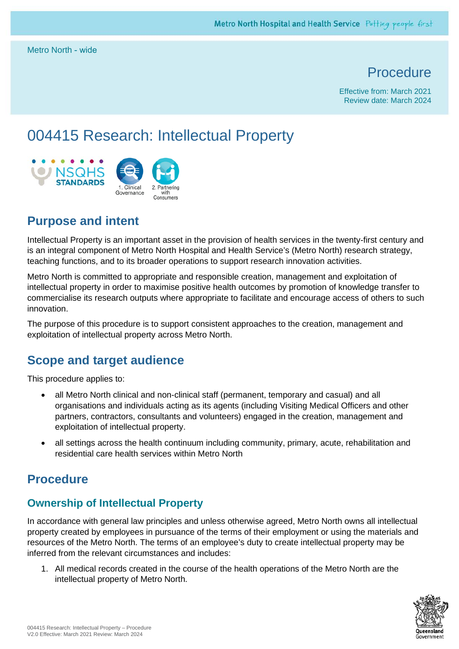Metro North - wide

# **Procedure**

Effective from: March 2021 Review date: March 2024

# 004415 Research: Intellectual Property



# **Purpose and intent**

Intellectual Property is an important asset in the provision of health services in the twenty-first century and is an integral component of Metro North Hospital and Health Service's (Metro North) research strategy, teaching functions, and to its broader operations to support research innovation activities.

Metro North is committed to appropriate and responsible creation, management and exploitation of intellectual property in order to maximise positive health outcomes by promotion of knowledge transfer to commercialise its research outputs where appropriate to facilitate and encourage access of others to such innovation.

The purpose of this procedure is to support consistent approaches to the creation, management and exploitation of intellectual property across Metro North.

## **Scope and target audience**

This procedure applies to:

- all Metro North clinical and non-clinical staff (permanent, temporary and casual) and all organisations and individuals acting as its agents (including Visiting Medical Officers and other partners, contractors, consultants and volunteers) engaged in the creation, management and exploitation of intellectual property.
- all settings across the health continuum including community, primary, acute, rehabilitation and residential care health services within Metro North

## **Procedure**

## **Ownership of Intellectual Property**

In accordance with general law principles and unless otherwise agreed, Metro North owns all intellectual property created by employees in pursuance of the terms of their employment or using the materials and resources of the Metro North. The terms of an employee's duty to create intellectual property may be inferred from the relevant circumstances and includes:

1. All medical records created in the course of the health operations of the Metro North are the intellectual property of Metro North.

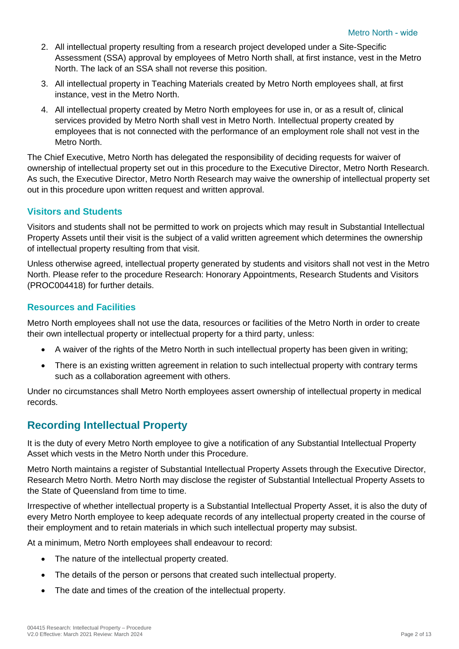- 2. All intellectual property resulting from a research project developed under a Site-Specific Assessment (SSA) approval by employees of Metro North shall, at first instance, vest in the Metro North. The lack of an SSA shall not reverse this position.
- 3. All intellectual property in Teaching Materials created by Metro North employees shall, at first instance, vest in the Metro North.
- 4. All intellectual property created by Metro North employees for use in, or as a result of, clinical services provided by Metro North shall vest in Metro North. Intellectual property created by employees that is not connected with the performance of an employment role shall not vest in the Metro North.

The Chief Executive, Metro North has delegated the responsibility of deciding requests for waiver of ownership of intellectual property set out in this procedure to the Executive Director, Metro North Research. As such, the Executive Director, Metro North Research may waive the ownership of intellectual property set out in this procedure upon written request and written approval.

#### **Visitors and Students**

Visitors and students shall not be permitted to work on projects which may result in Substantial Intellectual Property Assets until their visit is the subject of a valid written agreement which determines the ownership of intellectual property resulting from that visit.

Unless otherwise agreed, intellectual property generated by students and visitors shall not vest in the Metro North. Please refer to the procedure Research: Honorary Appointments, Research Students and Visitors (PROC004418) for further details.

#### **Resources and Facilities**

Metro North employees shall not use the data, resources or facilities of the Metro North in order to create their own intellectual property or intellectual property for a third party, unless:

- A waiver of the rights of the Metro North in such intellectual property has been given in writing;
- There is an existing written agreement in relation to such intellectual property with contrary terms such as a collaboration agreement with others.

Under no circumstances shall Metro North employees assert ownership of intellectual property in medical records.

## **Recording Intellectual Property**

It is the duty of every Metro North employee to give a notification of any Substantial Intellectual Property Asset which vests in the Metro North under this Procedure.

Metro North maintains a register of Substantial Intellectual Property Assets through the Executive Director, Research Metro North. Metro North may disclose the register of Substantial Intellectual Property Assets to the State of Queensland from time to time.

Irrespective of whether intellectual property is a Substantial Intellectual Property Asset, it is also the duty of every Metro North employee to keep adequate records of any intellectual property created in the course of their employment and to retain materials in which such intellectual property may subsist.

At a minimum, Metro North employees shall endeavour to record:

- The nature of the intellectual property created.
- The details of the person or persons that created such intellectual property.
- The date and times of the creation of the intellectual property.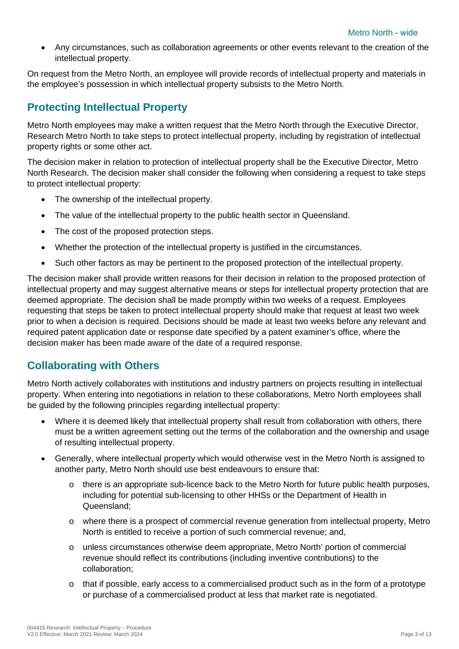• Any circumstances, such as collaboration agreements or other events relevant to the creation of the intellectual property.

On request from the Metro North, an employee will provide records of intellectual property and materials in the employee's possession in which intellectual property subsists to the Metro North.

#### **Protecting Intellectual Property**

Metro North employees may make a written request that the Metro North through the Executive Director, Research Metro North to take steps to protect intellectual property, including by registration of intellectual property rights or some other act.

The decision maker in relation to protection of intellectual property shall be the Executive Director, Metro North Research. The decision maker shall consider the following when considering a request to take steps to protect intellectual property:

- The ownership of the intellectual property.
- The value of the intellectual property to the public health sector in Queensland.
- The cost of the proposed protection steps.
- Whether the protection of the intellectual property is justified in the circumstances.
- Such other factors as may be pertinent to the proposed protection of the intellectual property.

The decision maker shall provide written reasons for their decision in relation to the proposed protection of intellectual property and may suggest alternative means or steps for intellectual property protection that are deemed appropriate. The decision shall be made promptly within two weeks of a request. Employees requesting that steps be taken to protect intellectual property should make that request at least two week prior to when a decision is required. Decisions should be made at least two weeks before any relevant and required patent application date or response date specified by a patent examiner's office, where the decision maker has been made aware of the date of a required response.

#### **Collaborating with Others**

Metro North actively collaborates with institutions and industry partners on projects resulting in intellectual property. When entering into negotiations in relation to these collaborations, Metro North employees shall be guided by the following principles regarding intellectual property:

- Where it is deemed likely that intellectual property shall result from collaboration with others, there must be a written agreement setting out the terms of the collaboration and the ownership and usage of resulting intellectual property.
- Generally, where intellectual property which would otherwise vest in the Metro North is assigned to another party, Metro North should use best endeavours to ensure that:
	- $\circ$  there is an appropriate sub-licence back to the Metro North for future public health purposes, including for potential sub-licensing to other HHSs or the Department of Health in Queensland;
	- o where there is a prospect of commercial revenue generation from intellectual property, Metro North is entitled to receive a portion of such commercial revenue; and,
	- o unless circumstances otherwise deem appropriate, Metro North' portion of commercial revenue should reflect its contributions (including inventive contributions) to the collaboration;
	- $\circ$  that if possible, early access to a commercialised product such as in the form of a prototype or purchase of a commercialised product at less that market rate is negotiated.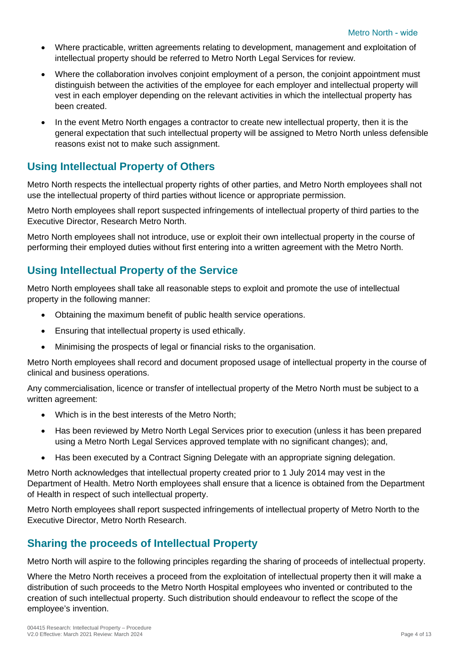- Where practicable, written agreements relating to development, management and exploitation of intellectual property should be referred to Metro North Legal Services for review.
- Where the collaboration involves conjoint employment of a person, the conjoint appointment must distinguish between the activities of the employee for each employer and intellectual property will vest in each employer depending on the relevant activities in which the intellectual property has been created.
- In the event Metro North engages a contractor to create new intellectual property, then it is the general expectation that such intellectual property will be assigned to Metro North unless defensible reasons exist not to make such assignment.

## **Using Intellectual Property of Others**

Metro North respects the intellectual property rights of other parties, and Metro North employees shall not use the intellectual property of third parties without licence or appropriate permission.

Metro North employees shall report suspected infringements of intellectual property of third parties to the Executive Director, Research Metro North.

Metro North employees shall not introduce, use or exploit their own intellectual property in the course of performing their employed duties without first entering into a written agreement with the Metro North.

#### **Using Intellectual Property of the Service**

Metro North employees shall take all reasonable steps to exploit and promote the use of intellectual property in the following manner:

- Obtaining the maximum benefit of public health service operations.
- Ensuring that intellectual property is used ethically.
- Minimising the prospects of legal or financial risks to the organisation.

Metro North employees shall record and document proposed usage of intellectual property in the course of clinical and business operations.

Any commercialisation, licence or transfer of intellectual property of the Metro North must be subject to a written agreement:

- Which is in the best interests of the Metro North;
- Has been reviewed by Metro North Legal Services prior to execution (unless it has been prepared using a Metro North Legal Services approved template with no significant changes); and,
- Has been executed by a Contract Signing Delegate with an appropriate signing delegation.

Metro North acknowledges that intellectual property created prior to 1 July 2014 may vest in the Department of Health. Metro North employees shall ensure that a licence is obtained from the Department of Health in respect of such intellectual property.

Metro North employees shall report suspected infringements of intellectual property of Metro North to the Executive Director, Metro North Research.

## **Sharing the proceeds of Intellectual Property**

Metro North will aspire to the following principles regarding the sharing of proceeds of intellectual property.

Where the Metro North receives a proceed from the exploitation of intellectual property then it will make a distribution of such proceeds to the Metro North Hospital employees who invented or contributed to the creation of such intellectual property. Such distribution should endeavour to reflect the scope of the employee's invention.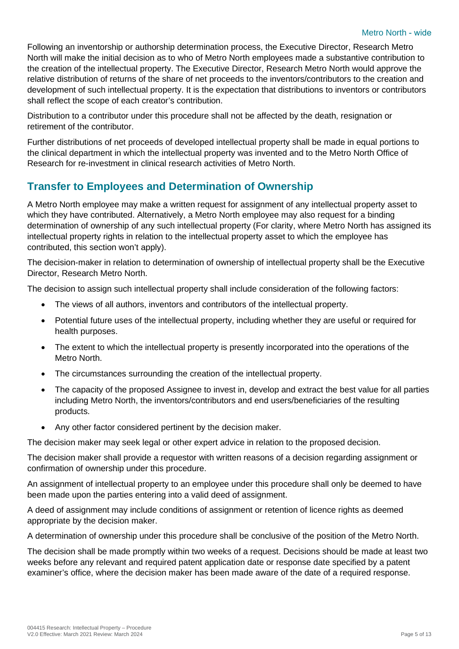Following an inventorship or authorship determination process, the Executive Director, Research Metro North will make the initial decision as to who of Metro North employees made a substantive contribution to the creation of the intellectual property. The Executive Director, Research Metro North would approve the relative distribution of returns of the share of net proceeds to the inventors/contributors to the creation and development of such intellectual property. It is the expectation that distributions to inventors or contributors shall reflect the scope of each creator's contribution.

Distribution to a contributor under this procedure shall not be affected by the death, resignation or retirement of the contributor.

Further distributions of net proceeds of developed intellectual property shall be made in equal portions to the clinical department in which the intellectual property was invented and to the Metro North Office of Research for re-investment in clinical research activities of Metro North.

## **Transfer to Employees and Determination of Ownership**

A Metro North employee may make a written request for assignment of any intellectual property asset to which they have contributed. Alternatively, a Metro North employee may also request for a binding determination of ownership of any such intellectual property (For clarity, where Metro North has assigned its intellectual property rights in relation to the intellectual property asset to which the employee has contributed, this section won't apply).

The decision-maker in relation to determination of ownership of intellectual property shall be the Executive Director, Research Metro North.

The decision to assign such intellectual property shall include consideration of the following factors:

- The views of all authors, inventors and contributors of the intellectual property.
- Potential future uses of the intellectual property, including whether they are useful or required for health purposes.
- The extent to which the intellectual property is presently incorporated into the operations of the Metro North.
- The circumstances surrounding the creation of the intellectual property.
- The capacity of the proposed Assignee to invest in, develop and extract the best value for all parties including Metro North, the inventors/contributors and end users/beneficiaries of the resulting products.
- Any other factor considered pertinent by the decision maker.

The decision maker may seek legal or other expert advice in relation to the proposed decision.

The decision maker shall provide a requestor with written reasons of a decision regarding assignment or confirmation of ownership under this procedure.

An assignment of intellectual property to an employee under this procedure shall only be deemed to have been made upon the parties entering into a valid deed of assignment.

A deed of assignment may include conditions of assignment or retention of licence rights as deemed appropriate by the decision maker.

A determination of ownership under this procedure shall be conclusive of the position of the Metro North.

The decision shall be made promptly within two weeks of a request. Decisions should be made at least two weeks before any relevant and required patent application date or response date specified by a patent examiner's office, where the decision maker has been made aware of the date of a required response.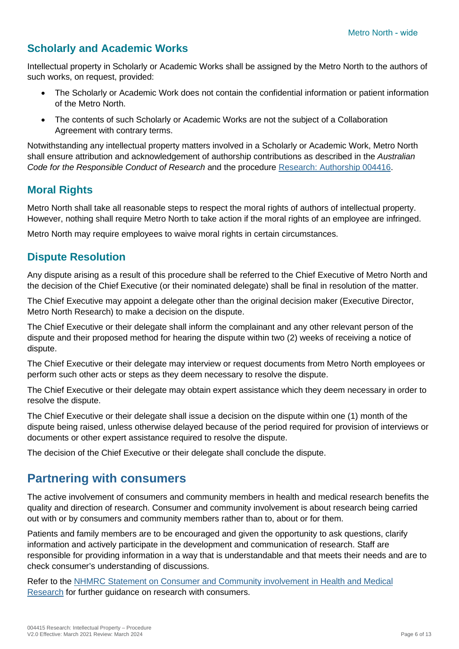## **Scholarly and Academic Works**

Intellectual property in Scholarly or Academic Works shall be assigned by the Metro North to the authors of such works, on request, provided:

- The Scholarly or Academic Work does not contain the confidential information or patient information of the Metro North.
- The contents of such Scholarly or Academic Works are not the subject of a Collaboration Agreement with contrary terms.

Notwithstanding any intellectual property matters involved in a Scholarly or Academic Work, Metro North shall ensure attribution and acknowledgement of authorship contributions as described in the *Australian Code for the Responsible Conduct of Research* and the procedure [Research: Authorship 004416.](#page-7-0)

#### **Moral Rights**

Metro North shall take all reasonable steps to respect the moral rights of authors of intellectual property. However, nothing shall require Metro North to take action if the moral rights of an employee are infringed.

Metro North may require employees to waive moral rights in certain circumstances.

#### **Dispute Resolution**

Any dispute arising as a result of this procedure shall be referred to the Chief Executive of Metro North and the decision of the Chief Executive (or their nominated delegate) shall be final in resolution of the matter.

The Chief Executive may appoint a delegate other than the original decision maker (Executive Director, Metro North Research) to make a decision on the dispute.

The Chief Executive or their delegate shall inform the complainant and any other relevant person of the dispute and their proposed method for hearing the dispute within two (2) weeks of receiving a notice of dispute.

The Chief Executive or their delegate may interview or request documents from Metro North employees or perform such other acts or steps as they deem necessary to resolve the dispute.

The Chief Executive or their delegate may obtain expert assistance which they deem necessary in order to resolve the dispute.

The Chief Executive or their delegate shall issue a decision on the dispute within one (1) month of the dispute being raised, unless otherwise delayed because of the period required for provision of interviews or documents or other expert assistance required to resolve the dispute.

The decision of the Chief Executive or their delegate shall conclude the dispute.

## **Partnering with consumers**

The active involvement of consumers and community members in health and medical research benefits the quality and direction of research. Consumer and community involvement is about research being carried out with or by consumers and community members rather than to, about or for them.

Patients and family members are to be encouraged and given the opportunity to ask questions, clarify information and actively participate in the development and communication of research. Staff are responsible for providing information in a way that is understandable and that meets their needs and are to check consumer's understanding of discussions.

Refer to the [NHMRC Statement on Consumer and Community involvement in Health and Medical](https://www.nhmrc.gov.au/sites/default/files/documents/reports/consumer-community-involvement.pdf)  [Research](https://www.nhmrc.gov.au/sites/default/files/documents/reports/consumer-community-involvement.pdf) for further guidance on research with consumers.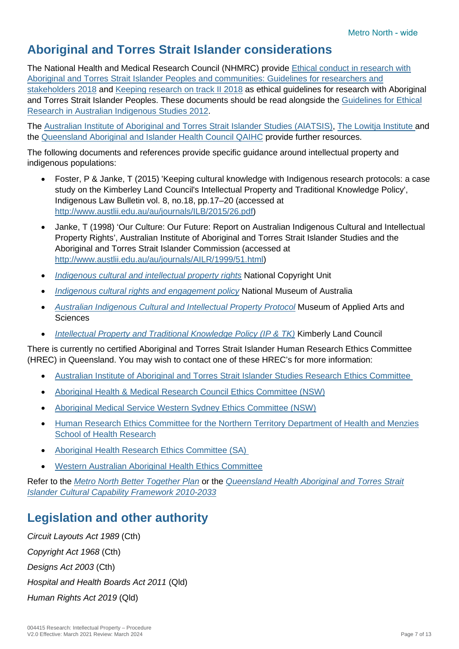# **Aboriginal and Torres Strait Islander considerations**

The National Health and Medical Research Council (NHMRC) provide [Ethical conduct in research with](https://www.nhmrc.gov.au/about-us/resources/ethical-conduct-research-aboriginal-and-torres-strait-islander-peoples-and-communities)  [Aboriginal and Torres Strait Islander Peoples and communities: Guidelines for researchers and](https://www.nhmrc.gov.au/about-us/resources/ethical-conduct-research-aboriginal-and-torres-strait-islander-peoples-and-communities)  [stakeholders 2018](https://www.nhmrc.gov.au/about-us/resources/ethical-conduct-research-aboriginal-and-torres-strait-islander-peoples-and-communities) and [Keeping research on track II 2018](https://www.nhmrc.gov.au/about-us/resources/keeping-research-track-ii) as ethical guidelines for research with Aboriginal and Torres Strait Islander Peoples. These documents should be read alongside the [Guidelines for Ethical](https://aiatsis.gov.au/research/ethical-research/guidelines-ethical-research-australian-indigenous-studies)  [Research in Australian Indigenous Studies 2012.](https://aiatsis.gov.au/research/ethical-research/guidelines-ethical-research-australian-indigenous-studies)

The [Australian Institute of Aboriginal and Torres Strait Islander Studies \(AIATSIS\),](https://aiatsis.gov.au/) [The Lowitja Institute a](https://www.lowitja.org.au/)nd the [Queensland Aboriginal and Islander Health Council QAIHC](https://www.qaihc.com.au/policy-research) provide further resources.

The following documents and references provide specific guidance around intellectual property and indigenous populations:

- Foster, P & Janke, T (2015) 'Keeping cultural knowledge with Indigenous research protocols: a case study on the Kimberley Land Council's Intellectual Property and Traditional Knowledge Policy', Indigenous Law Bulletin vol. 8, no.18, pp.17–20 (accessed at [http://www.austlii.edu.au/au/journals/ILB/2015/26.pdf\)](http://www.austlii.edu.au/au/journals/ILB/2015/26.pdf)
- Janke, T (1998) 'Our Culture: Our Future: Report on Australian Indigenous Cultural and Intellectual Property Rights', Australian Institute of Aboriginal and Torres Strait Islander Studies and the Aboriginal and Torres Strait Islander Commission (accessed at [http://www.austlii.edu.au/au/journals/AILR/1999/51.html\)](http://www.austlii.edu.au/au/journals/AILR/1999/51.html)
- *[Indigenous cultural and intellectual property rights](http://www.smartcopying.edu.au/copyright-guidelines/hot-topics/indigenous-cultural-and-intellectual-property-rights)* National Copyright Unit
- *[Indigenous cultural rights and engagement policy](https://www.nma.gov.au/about/corporate/plans-policies/policies/indigenous-cultural-rights-and-engagement)* National Museum of Australia
- *[Australian Indigenous Cultural and Intellectual Property Protocol](https://maas.museum/app/uploads/2016/08/Australian-Indigenous-Cultural-and-Intellectual-Cultural-Property-Protocol-v1.0.pdf)* Museum of Applied Arts and **Sciences**
- *[Intellectual Property and Traditional Knowledge Policy \(IP & TK\)](https://www.klc.org.au/research-facilitation/)* Kimberly Land Council

There is currently no certified Aboriginal and Torres Strait Islander Human Research Ethics Committee (HREC) in Queensland. You may wish to contact one of these HREC's for more information:

- [Australian Institute of Aboriginal and Torres Strait Islander Studies Research Ethics Committee](http://www.aiatsis.gov.au/)
- [Aboriginal Health & Medical Research Council Ethics Committee \(NSW\)](http://www.ahmrc.org.au/)
- [Aboriginal Medical Service Western Sydney Ethics Committee \(NSW\)](https://www.wslhd.health.nsw.gov.au/Aboriginal-Health-Unit)
- [Human Research Ethics Committee for the Northern Territory Department of Health and Menzies](https://www.menzies.edu.au/page/Research/Ethics_approval/) [School of Health Research](https://www.menzies.edu.au/page/Research/Ethics_approval/)
- [Aboriginal Health Research Ethics Committee \(SA\)](http://www.ahcsa.org.au/)
- [Western Australian Aboriginal Health Ethics Committee](http://www.ahcwa.org.au/)

Refer to the *[Metro North Better Together Plan](https://metronorth.health.qld.gov.au/wp-content/uploads/2019/07/close-gap-plan.pdf)* or the *[Queensland Health Aboriginal and Torres Strait](https://qheps.health.qld.gov.au/__data/assets/pdf_file/0019/510490/atsiccf.pdf)  [Islander Cultural Capability Framework 2010-2033](https://qheps.health.qld.gov.au/__data/assets/pdf_file/0019/510490/atsiccf.pdf)*

# **Legislation and other authority**

*Circuit Layouts Act 1989* (Cth) *Copyright Act 1968* (Cth) *Designs Act 2003* (Cth) *Hospital and Health Boards Act 2011* (Qld) *Human Rights Act 2019* (Qld)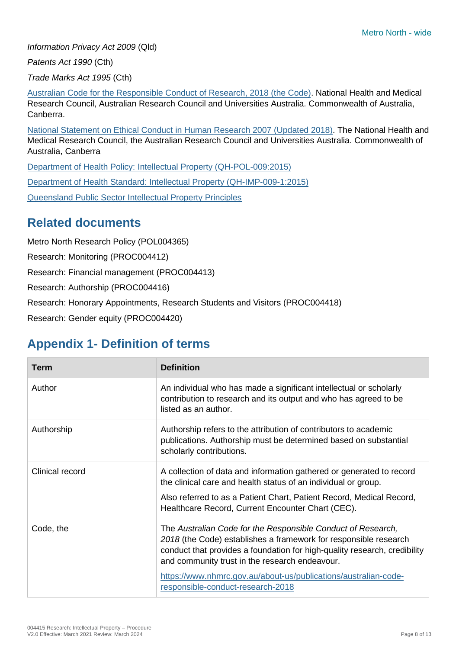*Information Privacy Act 2009* (Qld)

*Patents Act 1990* (Cth)

*Trade Marks Act 1995* (Cth)

Australian Code for the [Responsible Conduct of](https://www.nhmrc.gov.au/about-us/publications/australian-code-responsible-conduct-research-2018) Research, 2018 (the Code). National Health and Medical Research Council, Australian Research Council and Universities Australia. Commonwealth of Australia, Canberra.

National Statement [on Ethical Conduct in Human Research 2007 \(Updated 2018\).](https://www.nhmrc.gov.au/about-us/publications/national-statement-ethical-conduct-human-research-2007-updated-2018#block-views-block-file-attachments-content-block-1) The National Health and Medical Research Council, the Australian Research Council and Universities Australia. Commonwealth of Australia, Canberra

[Department of Health Policy: Intellectual Property](https://www.health.qld.gov.au/__data/assets/pdf_file/0026/395810/qh-pol-009.pdf) (QH-POL-009:2015)

[Department of Health Standard: Intellectual Property \(QH-IMP-009-1:2015\)](https://www.health.qld.gov.au/__data/assets/pdf_file/0029/397442/qh-imp-009-1.pdf)

[Queensland Public Sector Intellectual Property Principles](https://www.forgov.qld.gov.au/intellectual-property)

## <span id="page-7-0"></span>**Related documents**

Metro North Research Policy (POL004365)

Research: Monitoring (PROC004412)

Research: Financial management (PROC004413)

Research: Authorship (PROC004416)

Research: Honorary Appointments, Research Students and Visitors (PROC004418)

Research: Gender equity (PROC004420)

# **Appendix 1- Definition of terms**

| <b>Term</b>     | <b>Definition</b>                                                                                                                                                                                                                                                                                                                                                       |
|-----------------|-------------------------------------------------------------------------------------------------------------------------------------------------------------------------------------------------------------------------------------------------------------------------------------------------------------------------------------------------------------------------|
| Author          | An individual who has made a significant intellectual or scholarly<br>contribution to research and its output and who has agreed to be<br>listed as an author.                                                                                                                                                                                                          |
| Authorship      | Authorship refers to the attribution of contributors to academic<br>publications. Authorship must be determined based on substantial<br>scholarly contributions.                                                                                                                                                                                                        |
| Clinical record | A collection of data and information gathered or generated to record<br>the clinical care and health status of an individual or group.<br>Also referred to as a Patient Chart, Patient Record, Medical Record,<br>Healthcare Record, Current Encounter Chart (CEC).                                                                                                     |
| Code, the       | The Australian Code for the Responsible Conduct of Research,<br>2018 (the Code) establishes a framework for responsible research<br>conduct that provides a foundation for high-quality research, credibility<br>and community trust in the research endeavour.<br>https://www.nhmrc.gov.au/about-us/publications/australian-code-<br>responsible-conduct-research-2018 |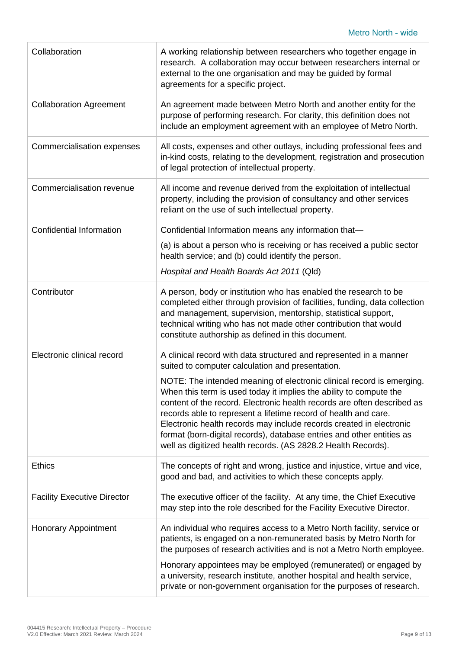| Collaboration                      | A working relationship between researchers who together engage in<br>research. A collaboration may occur between researchers internal or<br>external to the one organisation and may be guided by formal<br>agreements for a specific project.                                                                                                                                                                                                                                                             |
|------------------------------------|------------------------------------------------------------------------------------------------------------------------------------------------------------------------------------------------------------------------------------------------------------------------------------------------------------------------------------------------------------------------------------------------------------------------------------------------------------------------------------------------------------|
| <b>Collaboration Agreement</b>     | An agreement made between Metro North and another entity for the<br>purpose of performing research. For clarity, this definition does not<br>include an employment agreement with an employee of Metro North.                                                                                                                                                                                                                                                                                              |
| Commercialisation expenses         | All costs, expenses and other outlays, including professional fees and<br>in-kind costs, relating to the development, registration and prosecution<br>of legal protection of intellectual property.                                                                                                                                                                                                                                                                                                        |
| Commercialisation revenue          | All income and revenue derived from the exploitation of intellectual<br>property, including the provision of consultancy and other services<br>reliant on the use of such intellectual property.                                                                                                                                                                                                                                                                                                           |
| <b>Confidential Information</b>    | Confidential Information means any information that-                                                                                                                                                                                                                                                                                                                                                                                                                                                       |
|                                    | (a) is about a person who is receiving or has received a public sector<br>health service; and (b) could identify the person.                                                                                                                                                                                                                                                                                                                                                                               |
|                                    | Hospital and Health Boards Act 2011 (Qld)                                                                                                                                                                                                                                                                                                                                                                                                                                                                  |
| Contributor                        | A person, body or institution who has enabled the research to be<br>completed either through provision of facilities, funding, data collection<br>and management, supervision, mentorship, statistical support,<br>technical writing who has not made other contribution that would<br>constitute authorship as defined in this document.                                                                                                                                                                  |
| Electronic clinical record         | A clinical record with data structured and represented in a manner<br>suited to computer calculation and presentation.                                                                                                                                                                                                                                                                                                                                                                                     |
|                                    | NOTE: The intended meaning of electronic clinical record is emerging.<br>When this term is used today it implies the ability to compute the<br>content of the record. Electronic health records are often described as<br>records able to represent a lifetime record of health and care.<br>Electronic health records may include records created in electronic<br>format (born-digital records), database entries and other entities as<br>well as digitized health records. (AS 2828.2 Health Records). |
| <b>Ethics</b>                      | The concepts of right and wrong, justice and injustice, virtue and vice,<br>good and bad, and activities to which these concepts apply.                                                                                                                                                                                                                                                                                                                                                                    |
| <b>Facility Executive Director</b> | The executive officer of the facility. At any time, the Chief Executive<br>may step into the role described for the Facility Executive Director.                                                                                                                                                                                                                                                                                                                                                           |
| <b>Honorary Appointment</b>        | An individual who requires access to a Metro North facility, service or<br>patients, is engaged on a non-remunerated basis by Metro North for<br>the purposes of research activities and is not a Metro North employee.<br>Honorary appointees may be employed (remunerated) or engaged by<br>a university, research institute, another hospital and health service,<br>private or non-government organisation for the purposes of research.                                                               |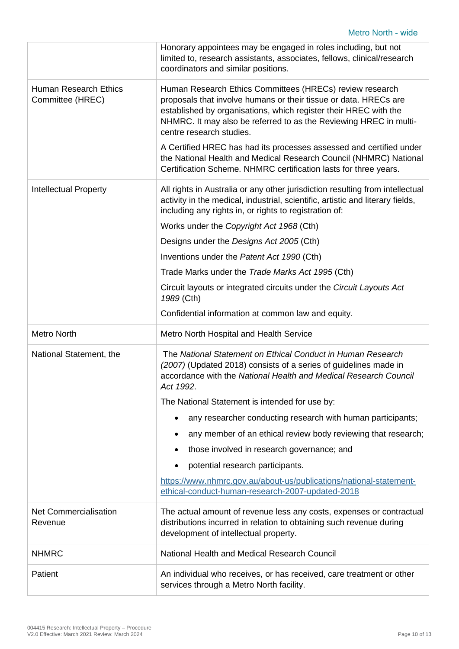|                                                  | Honorary appointees may be engaged in roles including, but not<br>limited to, research assistants, associates, fellows, clinical/research<br>coordinators and similar positions.                                                                                                                  |
|--------------------------------------------------|---------------------------------------------------------------------------------------------------------------------------------------------------------------------------------------------------------------------------------------------------------------------------------------------------|
| <b>Human Research Ethics</b><br>Committee (HREC) | Human Research Ethics Committees (HRECs) review research<br>proposals that involve humans or their tissue or data. HRECs are<br>established by organisations, which register their HREC with the<br>NHMRC. It may also be referred to as the Reviewing HREC in multi-<br>centre research studies. |
|                                                  | A Certified HREC has had its processes assessed and certified under<br>the National Health and Medical Research Council (NHMRC) National<br>Certification Scheme. NHMRC certification lasts for three years.                                                                                      |
| <b>Intellectual Property</b>                     | All rights in Australia or any other jurisdiction resulting from intellectual<br>activity in the medical, industrial, scientific, artistic and literary fields,<br>including any rights in, or rights to registration of:                                                                         |
|                                                  | Works under the Copyright Act 1968 (Cth)                                                                                                                                                                                                                                                          |
|                                                  | Designs under the Designs Act 2005 (Cth)                                                                                                                                                                                                                                                          |
|                                                  | Inventions under the Patent Act 1990 (Cth)                                                                                                                                                                                                                                                        |
|                                                  | Trade Marks under the Trade Marks Act 1995 (Cth)                                                                                                                                                                                                                                                  |
|                                                  | Circuit layouts or integrated circuits under the Circuit Layouts Act<br>1989 (Cth)                                                                                                                                                                                                                |
|                                                  | Confidential information at common law and equity.                                                                                                                                                                                                                                                |
|                                                  |                                                                                                                                                                                                                                                                                                   |
| <b>Metro North</b>                               | Metro North Hospital and Health Service                                                                                                                                                                                                                                                           |
| National Statement, the                          | The National Statement on Ethical Conduct in Human Research<br>(2007) (Updated 2018) consists of a series of guidelines made in<br>accordance with the National Health and Medical Research Council<br>Act 1992.                                                                                  |
|                                                  | The National Statement is intended for use by:                                                                                                                                                                                                                                                    |
|                                                  | any researcher conducting research with human participants;                                                                                                                                                                                                                                       |
|                                                  | any member of an ethical review body reviewing that research;                                                                                                                                                                                                                                     |
|                                                  | those involved in research governance; and                                                                                                                                                                                                                                                        |
|                                                  | potential research participants.                                                                                                                                                                                                                                                                  |
|                                                  | https://www.nhmrc.gov.au/about-us/publications/national-statement-<br>ethical-conduct-human-research-2007-updated-2018                                                                                                                                                                            |
| <b>Net Commercialisation</b><br>Revenue          | The actual amount of revenue less any costs, expenses or contractual<br>distributions incurred in relation to obtaining such revenue during<br>development of intellectual property.                                                                                                              |
| <b>NHMRC</b>                                     | National Health and Medical Research Council                                                                                                                                                                                                                                                      |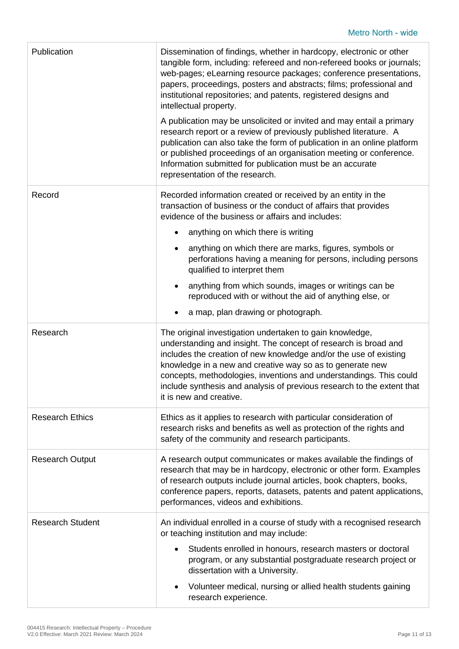| Publication             | Dissemination of findings, whether in hardcopy, electronic or other<br>tangible form, including: refereed and non-refereed books or journals;<br>web-pages; eLearning resource packages; conference presentations,<br>papers, proceedings, posters and abstracts; films; professional and<br>institutional repositories; and patents, registered designs and<br>intellectual property.                                                   |
|-------------------------|------------------------------------------------------------------------------------------------------------------------------------------------------------------------------------------------------------------------------------------------------------------------------------------------------------------------------------------------------------------------------------------------------------------------------------------|
|                         | A publication may be unsolicited or invited and may entail a primary<br>research report or a review of previously published literature. A<br>publication can also take the form of publication in an online platform<br>or published proceedings of an organisation meeting or conference.<br>Information submitted for publication must be an accurate<br>representation of the research.                                               |
| Record                  | Recorded information created or received by an entity in the<br>transaction of business or the conduct of affairs that provides<br>evidence of the business or affairs and includes:                                                                                                                                                                                                                                                     |
|                         | anything on which there is writing                                                                                                                                                                                                                                                                                                                                                                                                       |
|                         | anything on which there are marks, figures, symbols or<br>perforations having a meaning for persons, including persons<br>qualified to interpret them                                                                                                                                                                                                                                                                                    |
|                         | anything from which sounds, images or writings can be<br>reproduced with or without the aid of anything else, or                                                                                                                                                                                                                                                                                                                         |
|                         | a map, plan drawing or photograph.                                                                                                                                                                                                                                                                                                                                                                                                       |
| Research                | The original investigation undertaken to gain knowledge,<br>understanding and insight. The concept of research is broad and<br>includes the creation of new knowledge and/or the use of existing<br>knowledge in a new and creative way so as to generate new<br>concepts, methodologies, inventions and understandings. This could<br>include synthesis and analysis of previous research to the extent that<br>it is new and creative. |
| <b>Research Ethics</b>  | Ethics as it applies to research with particular consideration of<br>research risks and benefits as well as protection of the rights and<br>safety of the community and research participants.                                                                                                                                                                                                                                           |
| <b>Research Output</b>  | A research output communicates or makes available the findings of<br>research that may be in hardcopy, electronic or other form. Examples<br>of research outputs include journal articles, book chapters, books,<br>conference papers, reports, datasets, patents and patent applications,<br>performances, videos and exhibitions.                                                                                                      |
| <b>Research Student</b> | An individual enrolled in a course of study with a recognised research<br>or teaching institution and may include:                                                                                                                                                                                                                                                                                                                       |
|                         | Students enrolled in honours, research masters or doctoral<br>program, or any substantial postgraduate research project or<br>dissertation with a University.                                                                                                                                                                                                                                                                            |
|                         | Volunteer medical, nursing or allied health students gaining                                                                                                                                                                                                                                                                                                                                                                             |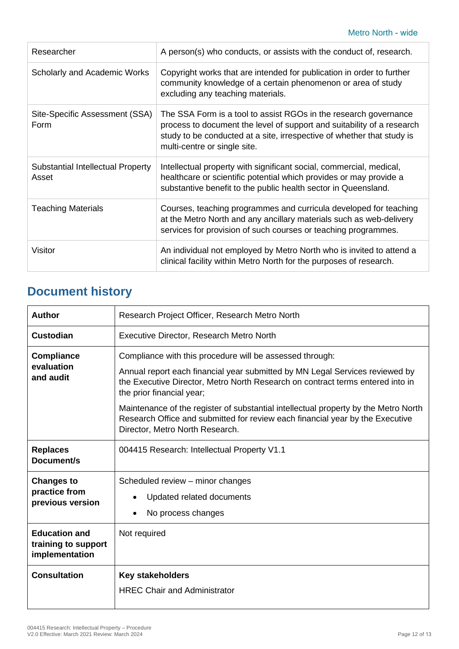| Researcher                                 | A person(s) who conducts, or assists with the conduct of, research.                                                                                                                                                                                  |
|--------------------------------------------|------------------------------------------------------------------------------------------------------------------------------------------------------------------------------------------------------------------------------------------------------|
| <b>Scholarly and Academic Works</b>        | Copyright works that are intended for publication in order to further<br>community knowledge of a certain phenomenon or area of study<br>excluding any teaching materials.                                                                           |
| Site-Specific Assessment (SSA)<br>Form     | The SSA Form is a tool to assist RGOs in the research governance<br>process to document the level of support and suitability of a research<br>study to be conducted at a site, irrespective of whether that study is<br>multi-centre or single site. |
| Substantial Intellectual Property<br>Asset | Intellectual property with significant social, commercial, medical,<br>healthcare or scientific potential which provides or may provide a<br>substantive benefit to the public health sector in Queensland.                                          |
| <b>Teaching Materials</b>                  | Courses, teaching programmes and curricula developed for teaching<br>at the Metro North and any ancillary materials such as web-delivery<br>services for provision of such courses or teaching programmes.                                           |
| Visitor                                    | An individual not employed by Metro North who is invited to attend a<br>clinical facility within Metro North for the purposes of research.                                                                                                           |

# **Document history**

| Author                                                        | Research Project Officer, Research Metro North                                                                                                                                                                                                                                                                                                                                                                                                                     |
|---------------------------------------------------------------|--------------------------------------------------------------------------------------------------------------------------------------------------------------------------------------------------------------------------------------------------------------------------------------------------------------------------------------------------------------------------------------------------------------------------------------------------------------------|
| <b>Custodian</b>                                              | Executive Director, Research Metro North                                                                                                                                                                                                                                                                                                                                                                                                                           |
| <b>Compliance</b><br>evaluation<br>and audit                  | Compliance with this procedure will be assessed through:<br>Annual report each financial year submitted by MN Legal Services reviewed by<br>the Executive Director, Metro North Research on contract terms entered into in<br>the prior financial year;<br>Maintenance of the register of substantial intellectual property by the Metro North<br>Research Office and submitted for review each financial year by the Executive<br>Director, Metro North Research. |
| <b>Replaces</b><br>Document/s                                 | 004415 Research: Intellectual Property V1.1                                                                                                                                                                                                                                                                                                                                                                                                                        |
| <b>Changes to</b><br>practice from<br>previous version        | Scheduled review – minor changes<br>Updated related documents<br>No process changes                                                                                                                                                                                                                                                                                                                                                                                |
| <b>Education and</b><br>training to support<br>implementation | Not required                                                                                                                                                                                                                                                                                                                                                                                                                                                       |
| <b>Consultation</b>                                           | Key stakeholders<br><b>HREC Chair and Administrator</b>                                                                                                                                                                                                                                                                                                                                                                                                            |